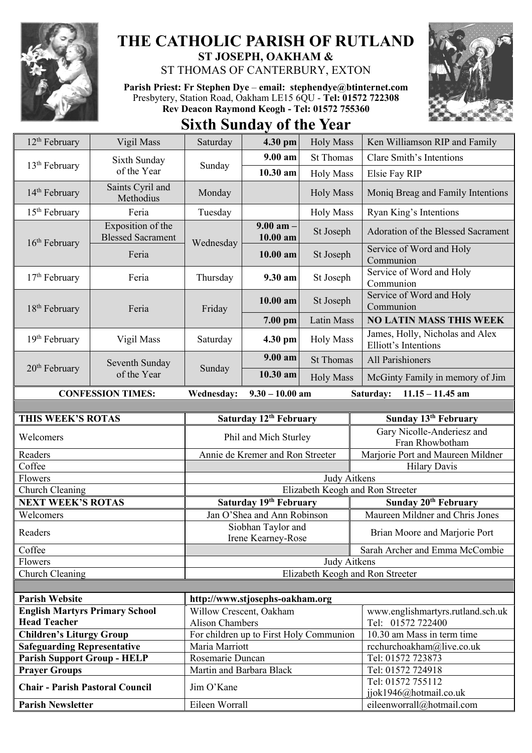

## **THE CATHOLIC PARISH OF RUTLAND ST JOSEPH, OAKHAM &**

ST THOMAS OF CANTERBURY, EXTON

**Parish Priest: Fr Stephen Dye** – **[email: stephendye@btinternet.com](mailto:email:%20%20stephendye@btinternet.com)** Presbytery, Station Road, Oakham LE15 6QU - **Tel: 01572 722308 Rev Deacon Raymond Keogh - Tel: 01572 755360**



**Sixth Sunday of the Year**

| $12th$ February                                                | Vigil Mass                                    | Saturday                                                             | 4.30 pm                                                     | <b>Holy Mass</b>                | Ken Williamson RIP and Family                           |
|----------------------------------------------------------------|-----------------------------------------------|----------------------------------------------------------------------|-------------------------------------------------------------|---------------------------------|---------------------------------------------------------|
|                                                                | Sixth Sunday                                  |                                                                      | 9.00 am<br><b>St Thomas</b><br>10.30 am<br><b>Holy Mass</b> |                                 | <b>Clare Smith's Intentions</b>                         |
| $13th$ February                                                | of the Year                                   | Sunday                                                               |                                                             | Elsie Fay RIP                   |                                                         |
| $14th$ February                                                | Saints Cyril and<br>Methodius                 | Monday                                                               |                                                             | <b>Holy Mass</b>                | Moniq Breag and Family Intentions                       |
| $15th$ February                                                | Feria                                         | Tuesday                                                              |                                                             | <b>Holy Mass</b>                | Ryan King's Intentions                                  |
| $16th$ February                                                | Exposition of the<br><b>Blessed Sacrament</b> | Wednesday                                                            | $9.00$ am $-$<br>10.00 am<br>10.00 am                       | St Joseph                       | Adoration of the Blessed Sacrament                      |
|                                                                | Feria                                         |                                                                      |                                                             | St Joseph                       | Service of Word and Holy<br>Communion                   |
| $17th$ February                                                | Feria                                         | Thursday                                                             | 9.30 am                                                     | St Joseph                       | Service of Word and Holy<br>Communion                   |
| $18th$ February                                                | Feria                                         | Friday                                                               | $10.00$ am                                                  | St Joseph                       | Service of Word and Holy<br>Communion                   |
|                                                                |                                               |                                                                      | 7.00 pm                                                     | Latin Mass                      | <b>NO LATIN MASS THIS WEEK</b>                          |
| 19 <sup>th</sup> February                                      | Vigil Mass                                    | Saturday                                                             | 4.30 pm                                                     | <b>Holy Mass</b>                | James, Holly, Nicholas and Alex<br>Elliott's Intentions |
|                                                                | Seventh Sunday                                | Sunday                                                               | $9.00 a$ m                                                  | <b>St Thomas</b>                | All Parishioners                                        |
| $20th$ February                                                | of the Year                                   |                                                                      | 10.30 am                                                    | <b>Holy Mass</b>                | McGinty Family in memory of Jim                         |
| <b>CONFESSION TIMES:</b>                                       |                                               | $9.30 - 10.00$ am<br><b>Wednesday:</b>                               |                                                             | $11.15 - 11.45$ am<br>Saturday: |                                                         |
|                                                                |                                               |                                                                      |                                                             |                                 |                                                         |
| THIS WEEK'S ROTAS                                              |                                               | Saturday 12th February                                               |                                                             |                                 | Sunday 13th February                                    |
| Welcomers                                                      |                                               | Phil and Mich Sturley                                                |                                                             |                                 | Gary Nicolle-Anderiesz and<br>Fran Rhowbotham           |
| Readers                                                        |                                               | Annie de Kremer and Ron Streeter                                     |                                                             |                                 | Marjorie Port and Maureen Mildner                       |
| Coffee                                                         |                                               | <b>Hilary Davis</b>                                                  |                                                             |                                 |                                                         |
| Flowers                                                        |                                               | Judy Aitkens                                                         |                                                             |                                 |                                                         |
| Church Cleaning                                                |                                               | Elizabeth Keogh and Ron Streeter                                     |                                                             |                                 |                                                         |
| <b>NEXT WEEK'S ROTAS</b>                                       |                                               | Saturday 19th February                                               |                                                             |                                 | Sunday 20 <sup>th</sup> February                        |
| Welcomers                                                      |                                               | Jan O'Shea and Ann Robinson                                          |                                                             |                                 | Maureen Mildner and Chris Jones                         |
| Readers                                                        |                                               | Siobhan Taylor and<br>Irene Kearney-Rose                             |                                                             |                                 | Brian Moore and Marjorie Port                           |
| Coffee                                                         |                                               | Sarah Archer and Emma McCombie                                       |                                                             |                                 |                                                         |
| Flowers                                                        |                                               | Judy Aitkens<br>Elizabeth Keogh and Ron Streeter                     |                                                             |                                 |                                                         |
| Church Cleaning                                                |                                               |                                                                      |                                                             |                                 |                                                         |
|                                                                |                                               |                                                                      |                                                             |                                 |                                                         |
| <b>Parish Website</b><br><b>English Martyrs Primary School</b> |                                               | http://www.stjosephs-oakham.org<br>www.englishmartyrs.rutland.sch.uk |                                                             |                                 |                                                         |
| <b>Head Teacher</b>                                            |                                               | Willow Crescent, Oakham<br><b>Alison Chambers</b>                    |                                                             |                                 | Tel: 01572 722400                                       |
| <b>Children's Liturgy Group</b>                                |                                               | For children up to First Holy Communion                              |                                                             |                                 | 10.30 am Mass in term time                              |
| <b>Safeguarding Representative</b>                             |                                               | Maria Marriott                                                       |                                                             |                                 | rcchurchoakham@live.co.uk                               |
| <b>Parish Support Group - HELP</b>                             |                                               | Rosemarie Duncan                                                     |                                                             |                                 | Tel: 01572 723873                                       |
| <b>Prayer Groups</b>                                           |                                               | Martin and Barbara Black                                             |                                                             |                                 | Tel: 01572 724918                                       |
| <b>Chair - Parish Pastoral Council</b>                         |                                               | Jim O'Kane                                                           |                                                             |                                 | Tel: 01572 755112<br>jjok1946@hotmail.co.uk             |
| <b>Parish Newsletter</b>                                       |                                               | Eileen Worrall                                                       |                                                             |                                 | eileenworrall@hotmail.com                               |